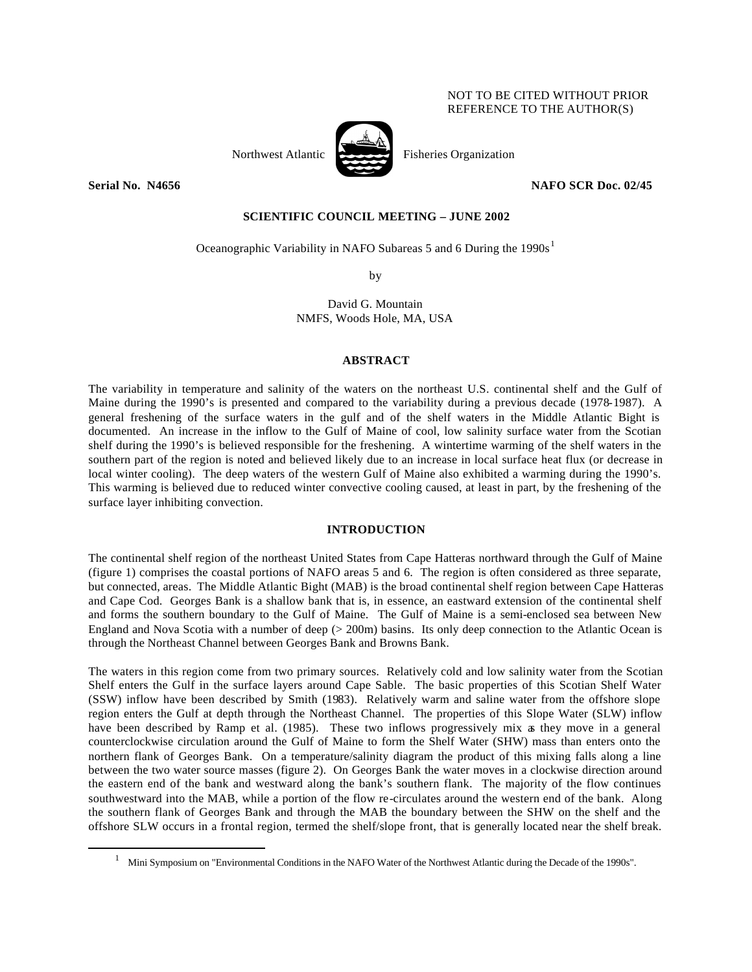# NOT TO BE CITED WITHOUT PRIOR REFERENCE TO THE AUTHOR(S)

 $\overline{a}$ 

# Northwest Atlantic  $\overrightarrow{P}$  Fisheries Organization

# **Serial No. N4656 NAFO SCR Doc. 02/45**

## **SCIENTIFIC COUNCIL MEETING – JUNE 2002**

Oceanographic Variability in NAFO Subareas 5 and 6 During the 1990s<sup>1</sup>

by

# David G. Mountain NMFS, Woods Hole, MA, USA

#### **ABSTRACT**

The variability in temperature and salinity of the waters on the northeast U.S. continental shelf and the Gulf of Maine during the 1990's is presented and compared to the variability during a previous decade (1978-1987). A general freshening of the surface waters in the gulf and of the shelf waters in the Middle Atlantic Bight is documented. An increase in the inflow to the Gulf of Maine of cool, low salinity surface water from the Scotian shelf during the 1990's is believed responsible for the freshening. A wintertime warming of the shelf waters in the southern part of the region is noted and believed likely due to an increase in local surface heat flux (or decrease in local winter cooling). The deep waters of the western Gulf of Maine also exhibited a warming during the 1990's. This warming is believed due to reduced winter convective cooling caused, at least in part, by the freshening of the surface layer inhibiting convection.

## **INTRODUCTION**

The continental shelf region of the northeast United States from Cape Hatteras northward through the Gulf of Maine (figure 1) comprises the coastal portions of NAFO areas 5 and 6. The region is often considered as three separate, but connected, areas. The Middle Atlantic Bight (MAB) is the broad continental shelf region between Cape Hatteras and Cape Cod. Georges Bank is a shallow bank that is, in essence, an eastward extension of the continental shelf and forms the southern boundary to the Gulf of Maine. The Gulf of Maine is a semi-enclosed sea between New England and Nova Scotia with a number of deep (> 200m) basins. Its only deep connection to the Atlantic Ocean is through the Northeast Channel between Georges Bank and Browns Bank.

The waters in this region come from two primary sources. Relatively cold and low salinity water from the Scotian Shelf enters the Gulf in the surface layers around Cape Sable. The basic properties of this Scotian Shelf Water (SSW) inflow have been described by Smith (1983). Relatively warm and saline water from the offshore slope region enters the Gulf at depth through the Northeast Channel. The properties of this Slope Water (SLW) inflow have been described by Ramp et al. (1985). These two inflows progressively mix as they move in a general counterclockwise circulation around the Gulf of Maine to form the Shelf Water (SHW) mass than enters onto the northern flank of Georges Bank. On a temperature/salinity diagram the product of this mixing falls along a line between the two water source masses (figure 2). On Georges Bank the water moves in a clockwise direction around the eastern end of the bank and westward along the bank's southern flank. The majority of the flow continues southwestward into the MAB, while a portion of the flow re-circulates around the western end of the bank. Along the southern flank of Georges Bank and through the MAB the boundary between the SHW on the shelf and the offshore SLW occurs in a frontal region, termed the shelf/slope front, that is generally located near the shelf break.

<sup>1</sup> Mini Symposium on "Environmental Conditions in the NAFO Water of the Northwest Atlantic during the Decade of the 1990s".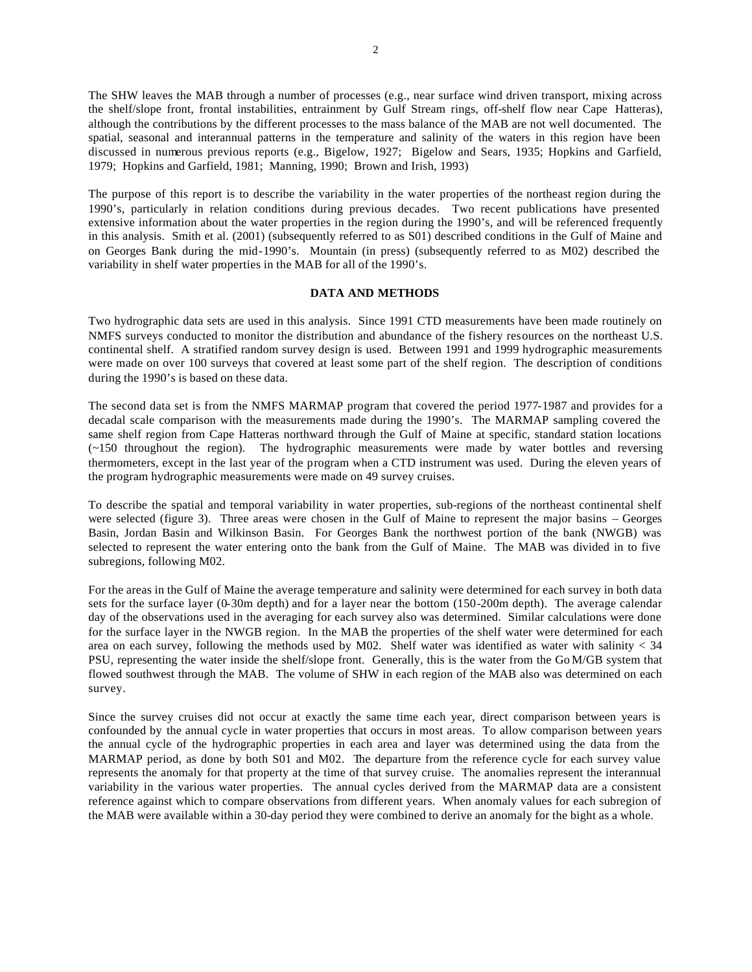The SHW leaves the MAB through a number of processes (e.g., near surface wind driven transport, mixing across the shelf/slope front, frontal instabilities, entrainment by Gulf Stream rings, off-shelf flow near Cape Hatteras), although the contributions by the different processes to the mass balance of the MAB are not well documented. The spatial, seasonal and interannual patterns in the temperature and salinity of the waters in this region have been discussed in numerous previous reports (e.g., Bigelow, 1927; Bigelow and Sears, 1935; Hopkins and Garfield, 1979; Hopkins and Garfield, 1981; Manning, 1990; Brown and Irish, 1993)

The purpose of this report is to describe the variability in the water properties of the northeast region during the 1990's, particularly in relation conditions during previous decades. Two recent publications have presented extensive information about the water properties in the region during the 1990's, and will be referenced frequently in this analysis. Smith et al. (2001) (subsequently referred to as S01) described conditions in the Gulf of Maine and on Georges Bank during the mid-1990's. Mountain (in press) (subsequently referred to as M02) described the variability in shelf water properties in the MAB for all of the 1990's.

## **DATA AND METHODS**

Two hydrographic data sets are used in this analysis. Since 1991 CTD measurements have been made routinely on NMFS surveys conducted to monitor the distribution and abundance of the fishery resources on the northeast U.S. continental shelf. A stratified random survey design is used. Between 1991 and 1999 hydrographic measurements were made on over 100 surveys that covered at least some part of the shelf region. The description of conditions during the 1990's is based on these data.

The second data set is from the NMFS MARMAP program that covered the period 1977-1987 and provides for a decadal scale comparison with the measurements made during the 1990's. The MARMAP sampling covered the same shelf region from Cape Hatteras northward through the Gulf of Maine at specific, standard station locations (~150 throughout the region). The hydrographic measurements were made by water bottles and reversing thermometers, except in the last year of the program when a CTD instrument was used. During the eleven years of the program hydrographic measurements were made on 49 survey cruises.

To describe the spatial and temporal variability in water properties, sub-regions of the northeast continental shelf were selected (figure 3). Three areas were chosen in the Gulf of Maine to represent the major basins – Georges Basin, Jordan Basin and Wilkinson Basin. For Georges Bank the northwest portion of the bank (NWGB) was selected to represent the water entering onto the bank from the Gulf of Maine. The MAB was divided in to five subregions, following M02.

For the areas in the Gulf of Maine the average temperature and salinity were determined for each survey in both data sets for the surface layer (0-30m depth) and for a layer near the bottom (150-200m depth). The average calendar day of the observations used in the averaging for each survey also was determined. Similar calculations were done for the surface layer in the NWGB region. In the MAB the properties of the shelf water were determined for each area on each survey, following the methods used by M02. Shelf water was identified as water with salinity < 34 PSU, representing the water inside the shelf/slope front. Generally, this is the water from the Go M/GB system that flowed southwest through the MAB. The volume of SHW in each region of the MAB also was determined on each survey.

Since the survey cruises did not occur at exactly the same time each year, direct comparison between years is confounded by the annual cycle in water properties that occurs in most areas. To allow comparison between years the annual cycle of the hydrographic properties in each area and layer was determined using the data from the MARMAP period, as done by both S01 and M02. The departure from the reference cycle for each survey value represents the anomaly for that property at the time of that survey cruise. The anomalies represent the interannual variability in the various water properties. The annual cycles derived from the MARMAP data are a consistent reference against which to compare observations from different years. When anomaly values for each subregion of the MAB were available within a 30-day period they were combined to derive an anomaly for the bight as a whole.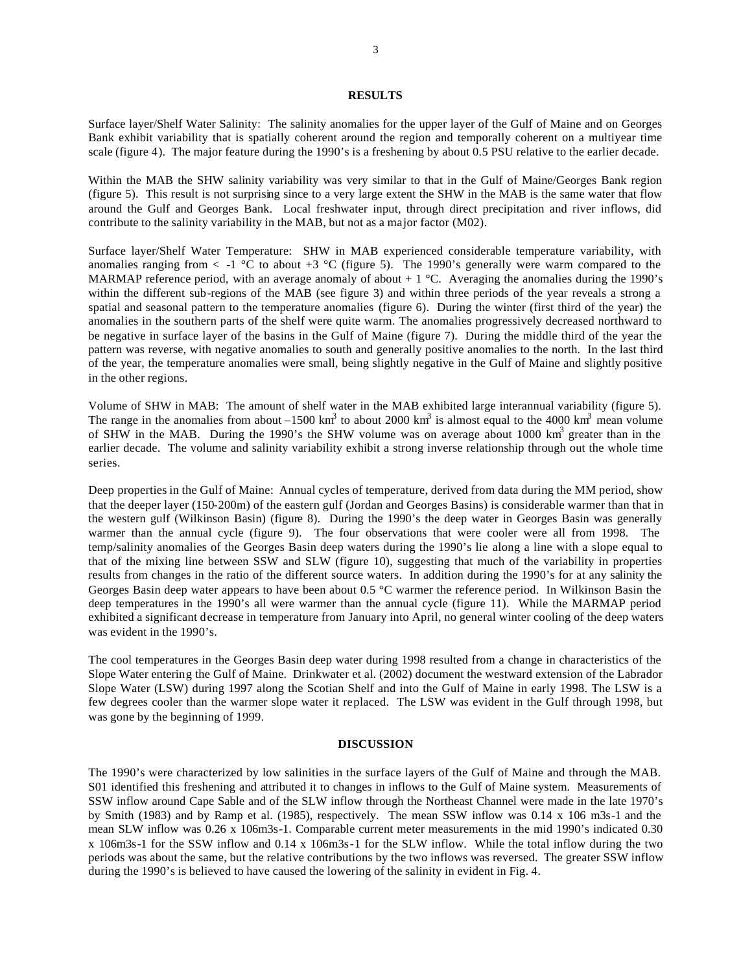### **RESULTS**

Surface layer/Shelf Water Salinity: The salinity anomalies for the upper layer of the Gulf of Maine and on Georges Bank exhibit variability that is spatially coherent around the region and temporally coherent on a multiyear time scale (figure 4). The major feature during the 1990's is a freshening by about 0.5 PSU relative to the earlier decade.

Within the MAB the SHW salinity variability was very similar to that in the Gulf of Maine/Georges Bank region (figure 5). This result is not surprising since to a very large extent the SHW in the MAB is the same water that flow around the Gulf and Georges Bank. Local freshwater input, through direct precipitation and river inflows, did contribute to the salinity variability in the MAB, but not as a major factor (M02).

Surface layer/Shelf Water Temperature: SHW in MAB experienced considerable temperature variability, with anomalies ranging from  $\lt$  -1  $\degree$ C to about +3  $\degree$ C (figure 5). The 1990's generally were warm compared to the MARMAP reference period, with an average anomaly of about  $+1$  °C. Averaging the anomalies during the 1990's within the different sub-regions of the MAB (see figure 3) and within three periods of the year reveals a strong a spatial and seasonal pattern to the temperature anomalies (figure 6). During the winter (first third of the year) the anomalies in the southern parts of the shelf were quite warm. The anomalies progressively decreased northward to be negative in surface layer of the basins in the Gulf of Maine (figure 7). During the middle third of the year the pattern was reverse, with negative anomalies to south and generally positive anomalies to the north. In the last third of the year, the temperature anomalies were small, being slightly negative in the Gulf of Maine and slightly positive in the other regions.

Volume of SHW in MAB: The amount of shelf water in the MAB exhibited large interannual variability (figure 5). The range in the anomalies from about  $-1500 \text{ km}^3$  to about 2000 km<sup>3</sup> is almost equal to the 4000 km<sup>3</sup> mean volume of SHW in the MAB. During the 1990's the SHW volume was on average about 1000  $km<sup>3</sup>$  greater than in the earlier decade. The volume and salinity variability exhibit a strong inverse relationship through out the whole time series.

Deep properties in the Gulf of Maine: Annual cycles of temperature, derived from data during the MM period, show that the deeper layer (150-200m) of the eastern gulf (Jordan and Georges Basins) is considerable warmer than that in the western gulf (Wilkinson Basin) (figure 8). During the 1990's the deep water in Georges Basin was generally warmer than the annual cycle (figure 9). The four observations that were cooler were all from 1998. The temp/salinity anomalies of the Georges Basin deep waters during the 1990's lie along a line with a slope equal to that of the mixing line between SSW and SLW (figure 10), suggesting that much of the variability in properties results from changes in the ratio of the different source waters. In addition during the 1990's for at any salinity the Georges Basin deep water appears to have been about 0.5 °C warmer the reference period. In Wilkinson Basin the deep temperatures in the 1990's all were warmer than the annual cycle (figure 11). While the MARMAP period exhibited a significant decrease in temperature from January into April, no general winter cooling of the deep waters was evident in the 1990's.

The cool temperatures in the Georges Basin deep water during 1998 resulted from a change in characteristics of the Slope Water entering the Gulf of Maine. Drinkwater et al. (2002) document the westward extension of the Labrador Slope Water (LSW) during 1997 along the Scotian Shelf and into the Gulf of Maine in early 1998. The LSW is a few degrees cooler than the warmer slope water it replaced. The LSW was evident in the Gulf through 1998, but was gone by the beginning of 1999.

#### **DISCUSSION**

The 1990's were characterized by low salinities in the surface layers of the Gulf of Maine and through the MAB. S01 identified this freshening and attributed it to changes in inflows to the Gulf of Maine system. Measurements of SSW inflow around Cape Sable and of the SLW inflow through the Northeast Channel were made in the late 1970's by Smith (1983) and by Ramp et al. (1985), respectively. The mean SSW inflow was 0.14 x 106 m3s-1 and the mean SLW inflow was 0.26 x 106m3s-1. Comparable current meter measurements in the mid 1990's indicated 0.30 x 106m3s-1 for the SSW inflow and 0.14 x 106m3s-1 for the SLW inflow. While the total inflow during the two periods was about the same, but the relative contributions by the two inflows was reversed. The greater SSW inflow during the 1990's is believed to have caused the lowering of the salinity in evident in Fig. 4.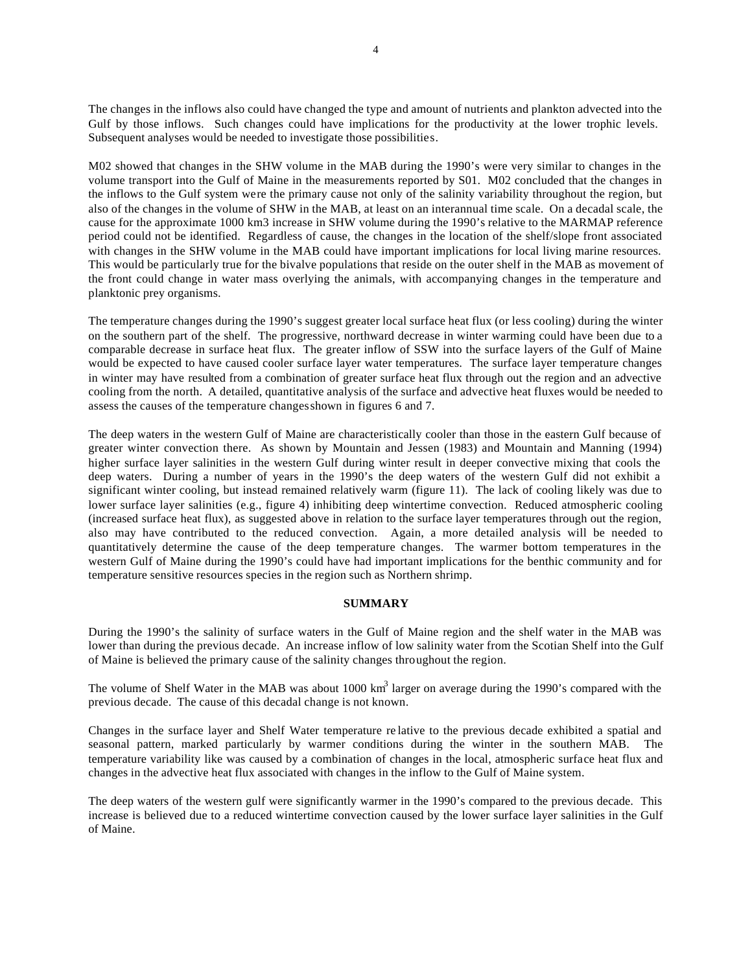The changes in the inflows also could have changed the type and amount of nutrients and plankton advected into the Gulf by those inflows. Such changes could have implications for the productivity at the lower trophic levels. Subsequent analyses would be needed to investigate those possibilities.

M02 showed that changes in the SHW volume in the MAB during the 1990's were very similar to changes in the volume transport into the Gulf of Maine in the measurements reported by S01. M02 concluded that the changes in the inflows to the Gulf system were the primary cause not only of the salinity variability throughout the region, but also of the changes in the volume of SHW in the MAB, at least on an interannual time scale. On a decadal scale, the cause for the approximate 1000 km3 increase in SHW volume during the 1990's relative to the MARMAP reference period could not be identified. Regardless of cause, the changes in the location of the shelf/slope front associated with changes in the SHW volume in the MAB could have important implications for local living marine resources. This would be particularly true for the bivalve populations that reside on the outer shelf in the MAB as movement of the front could change in water mass overlying the animals, with accompanying changes in the temperature and planktonic prey organisms.

The temperature changes during the 1990's suggest greater local surface heat flux (or less cooling) during the winter on the southern part of the shelf. The progressive, northward decrease in winter warming could have been due to a comparable decrease in surface heat flux. The greater inflow of SSW into the surface layers of the Gulf of Maine would be expected to have caused cooler surface layer water temperatures. The surface layer temperature changes in winter may have resulted from a combination of greater surface heat flux through out the region and an advective cooling from the north. A detailed, quantitative analysis of the surface and advective heat fluxes would be needed to assess the causes of the temperature changes shown in figures 6 and 7.

The deep waters in the western Gulf of Maine are characteristically cooler than those in the eastern Gulf because of greater winter convection there. As shown by Mountain and Jessen (1983) and Mountain and Manning (1994) higher surface layer salinities in the western Gulf during winter result in deeper convective mixing that cools the deep waters. During a number of years in the 1990's the deep waters of the western Gulf did not exhibit a significant winter cooling, but instead remained relatively warm (figure 11). The lack of cooling likely was due to lower surface layer salinities (e.g., figure 4) inhibiting deep wintertime convection. Reduced atmospheric cooling (increased surface heat flux), as suggested above in relation to the surface layer temperatures through out the region, also may have contributed to the reduced convection. Again, a more detailed analysis will be needed to quantitatively determine the cause of the deep temperature changes. The warmer bottom temperatures in the western Gulf of Maine during the 1990's could have had important implications for the benthic community and for temperature sensitive resources species in the region such as Northern shrimp.

#### **SUMMARY**

During the 1990's the salinity of surface waters in the Gulf of Maine region and the shelf water in the MAB was lower than during the previous decade. An increase inflow of low salinity water from the Scotian Shelf into the Gulf of Maine is believed the primary cause of the salinity changes throughout the region.

The volume of Shelf Water in the MAB was about 1000  $km<sup>3</sup>$  larger on average during the 1990's compared with the previous decade. The cause of this decadal change is not known.

Changes in the surface layer and Shelf Water temperature re lative to the previous decade exhibited a spatial and seasonal pattern, marked particularly by warmer conditions during the winter in the southern MAB. The temperature variability like was caused by a combination of changes in the local, atmospheric surface heat flux and changes in the advective heat flux associated with changes in the inflow to the Gulf of Maine system.

The deep waters of the western gulf were significantly warmer in the 1990's compared to the previous decade. This increase is believed due to a reduced wintertime convection caused by the lower surface layer salinities in the Gulf of Maine.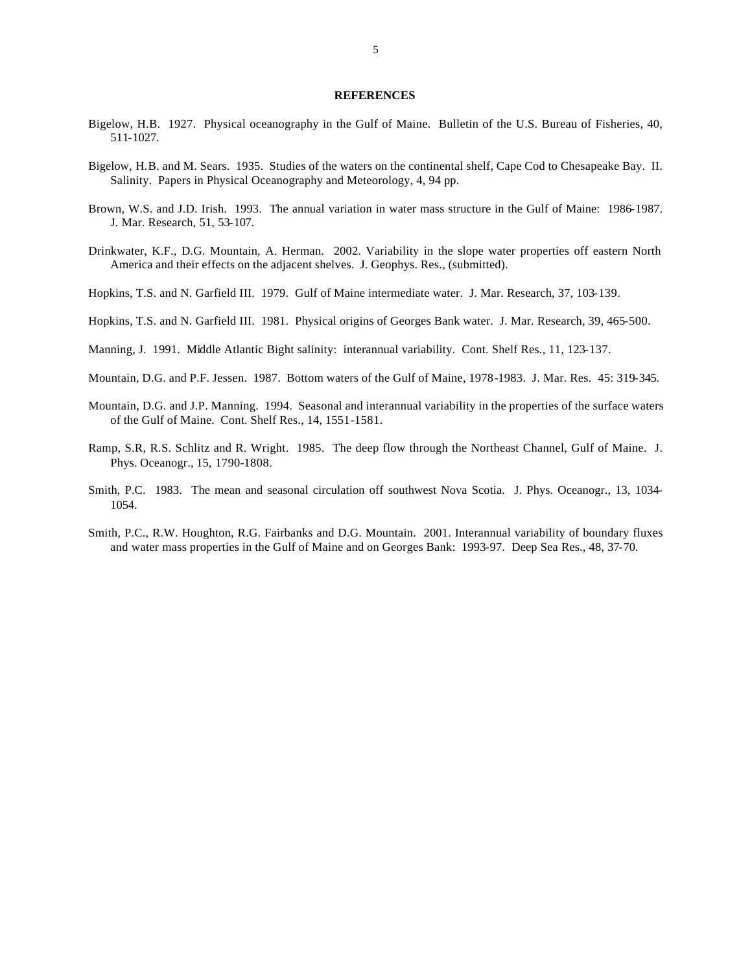#### **REFERENCES**

- Bigelow, H.B. 1927. Physical oceanography in the Gulf of Maine. Bulletin of the U.S. Bureau of Fisheries, 40, 511-1027.
- Bigelow, H.B. and M. Sears. 1935. Studies of the waters on the continental shelf, Cape Cod to Chesapeake Bay. II. Salinity. Papers in Physical Oceanography and Meteorology, 4, 94 pp.
- Brown, W.S. and J.D. Irish. 1993. The annual variation in water mass structure in the Gulf of Maine: 1986-1987. J. Mar. Research, 51, 53-107.
- Drinkwater, K.F., D.G. Mountain, A. Herman. 2002. Variability in the slope water properties off eastern North America and their effects on the adjacent shelves. J. Geophys. Res., (submitted).
- Hopkins, T.S. and N. Garfield III. 1979. Gulf of Maine intermediate water. J. Mar. Research, 37, 103-139.
- Hopkins, T.S. and N. Garfield III. 1981. Physical origins of Georges Bank water. J. Mar. Research, 39, 465-500.
- Manning, J. 1991. Middle Atlantic Bight salinity: interannual variability. Cont. Shelf Res., 11, 123-137.
- Mountain, D.G. and P.F. Jessen. 1987. Bottom waters of the Gulf of Maine, 1978-1983. J. Mar. Res. 45: 319-345.
- Mountain, D.G. and J.P. Manning. 1994. Seasonal and interannual variability in the properties of the surface waters of the Gulf of Maine. Cont. Shelf Res., 14, 1551-1581.
- Ramp, S.R, R.S. Schlitz and R. Wright. 1985. The deep flow through the Northeast Channel, Gulf of Maine. J. Phys. Oceanogr., 15, 1790-1808.
- Smith, P.C. 1983. The mean and seasonal circulation off southwest Nova Scotia. J. Phys. Oceanogr., 13, 1034- 1054.
- Smith, P.C., R.W. Houghton, R.G. Fairbanks and D.G. Mountain. 2001. Interannual variability of boundary fluxes and water mass properties in the Gulf of Maine and on Georges Bank: 1993-97. Deep Sea Res., 48, 37-70.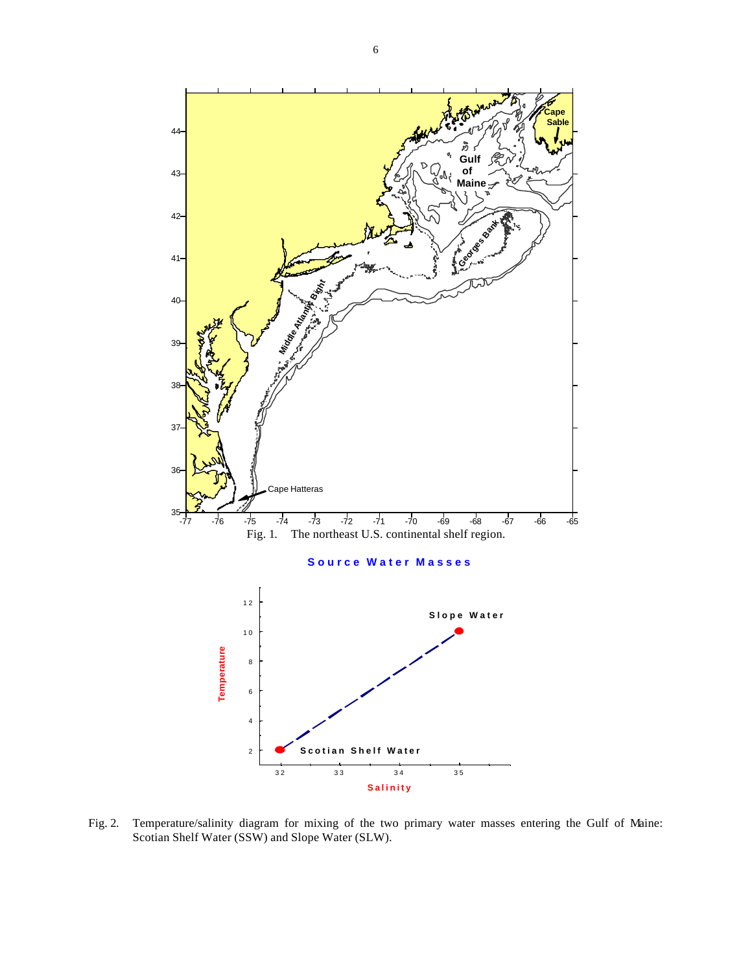

Fig. 2. Temperature/salinity diagram for mixing of the two primary water masses entering the Gulf of Maine: Scotian Shelf Water (SSW) and Slope Water (SLW).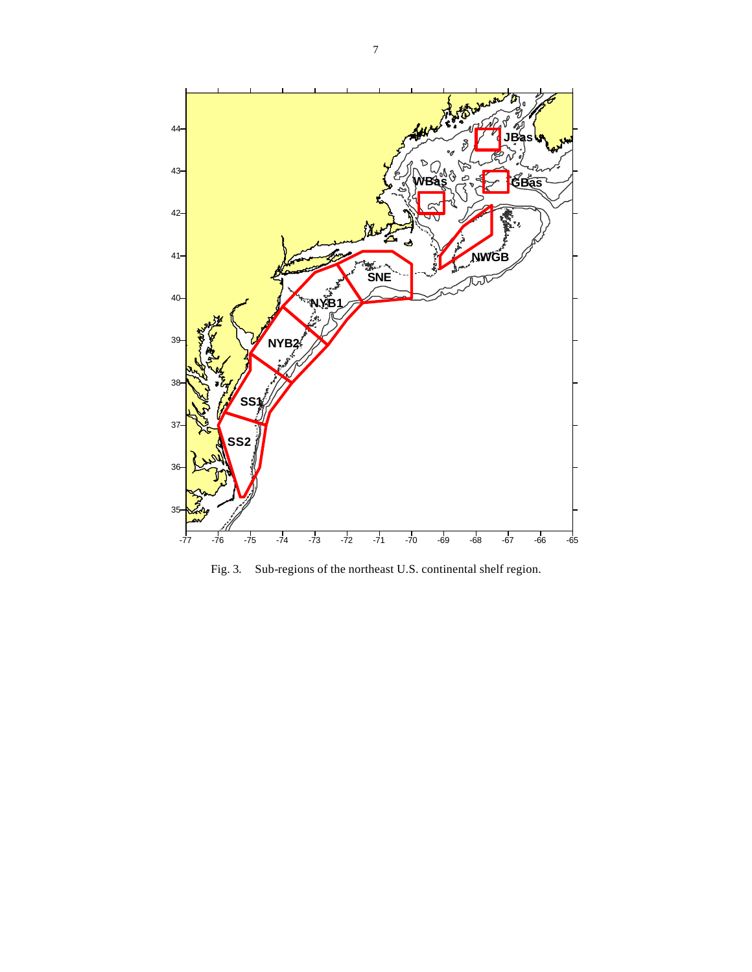

Fig. 3. Sub-regions of the northeast U.S. continental shelf region.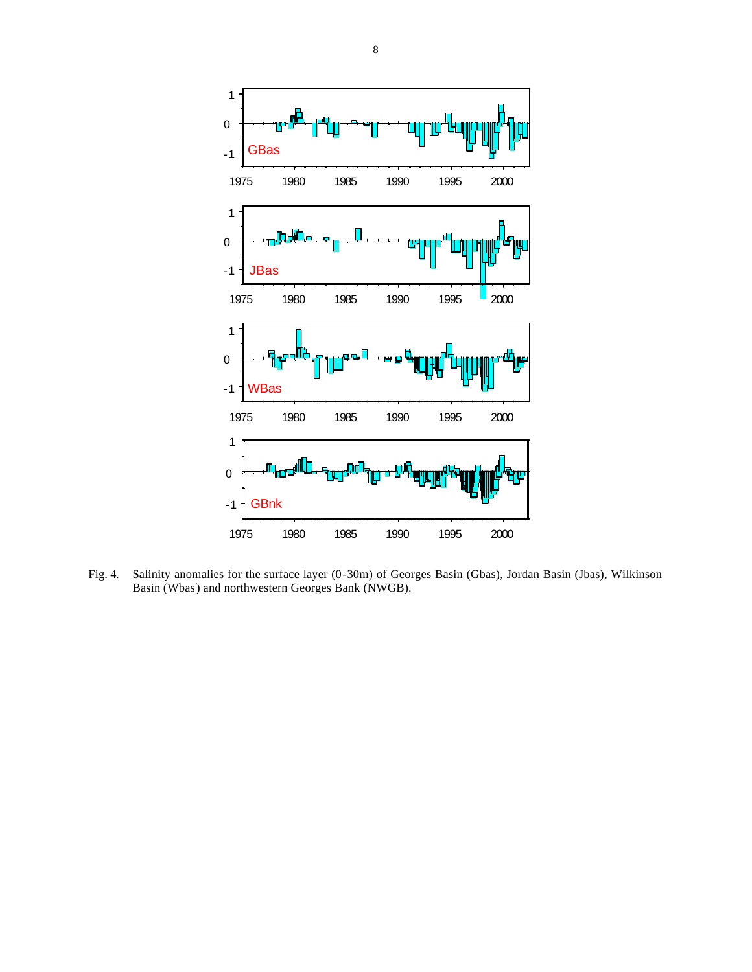

Fig. 4. Salinity anomalies for the surface layer (0-30m) of Georges Basin (Gbas), Jordan Basin (Jbas), Wilkinson Basin (Wbas) and northwestern Georges Bank (NWGB).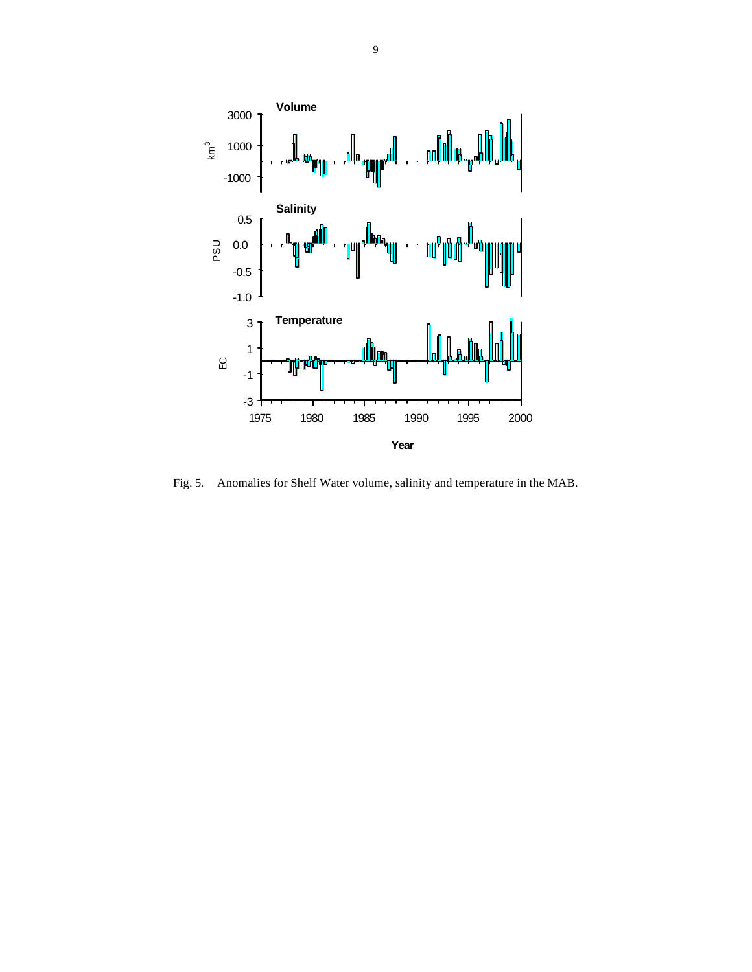

Fig. 5. Anomalies for Shelf Water volume, salinity and temperature in the MAB.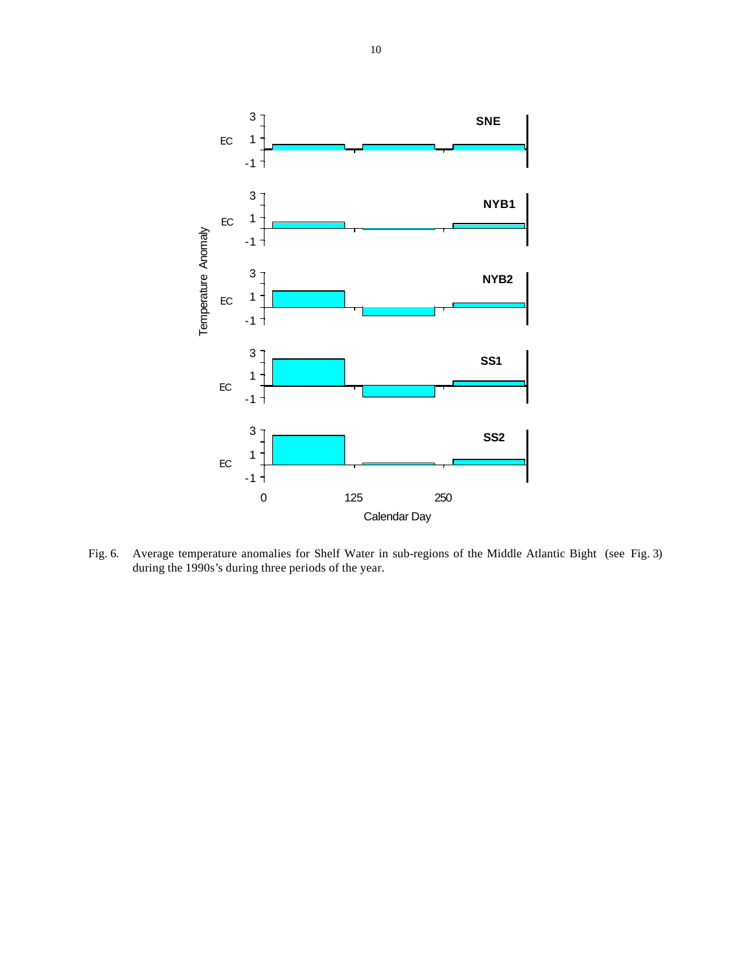

Fig. 6. Average temperature anomalies for Shelf Water in sub-regions of the Middle Atlantic Bight (see Fig. 3) during the 1990s's during three periods of the year.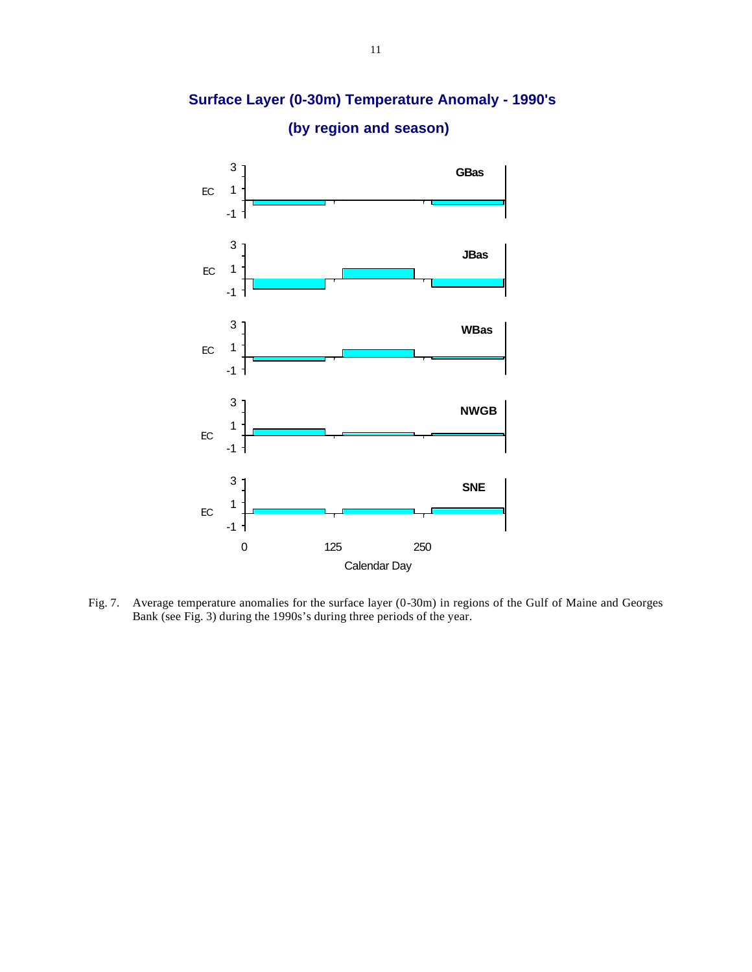

**Surface Layer (0-30m) Temperature Anomaly - 1990's**

**(by region and season)**

Fig. 7. Average temperature anomalies for the surface layer (0-30m) in regions of the Gulf of Maine and Georges Bank (see Fig. 3) during the 1990s's during three periods of the year.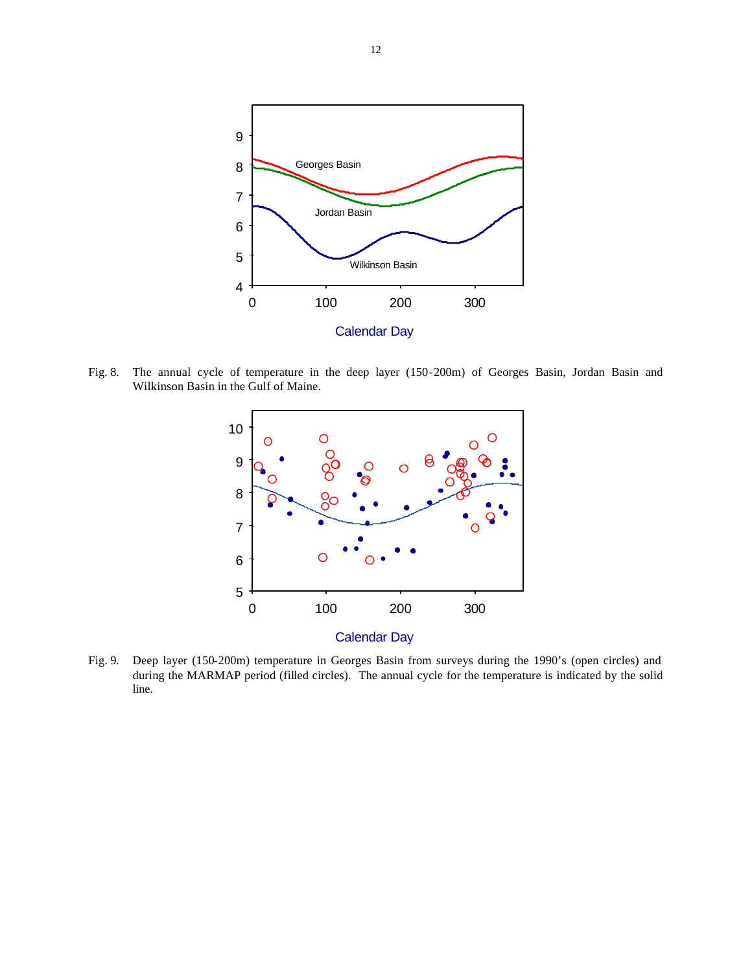

Fig. 8. The annual cycle of temperature in the deep layer (150-200m) of Georges Basin, Jordan Basin and Wilkinson Basin in the Gulf of Maine.



Fig. 9. Deep layer (150-200m) temperature in Georges Basin from surveys during the 1990's (open circles) and during the MARMAP period (filled circles). The annual cycle for the temperature is indicated by the solid line.